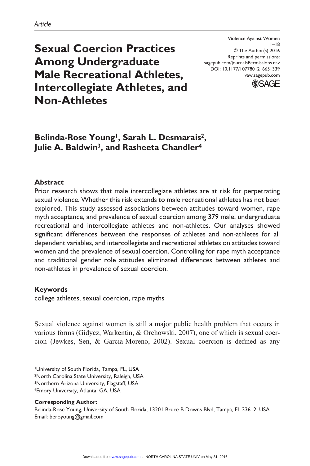**Sexual Coercion Practices Among Undergraduate Male Recreational Athletes, Intercollegiate Athletes, and Non-Athletes**

Violence Against Women  $1 - 18$ © The Author(s) 2016 Reprints and permissions: sagepub.com/journalsPermissions.nav DOI: 10.1177/1077801216651339 vaw.sagepub.com



# Belinda-Rose Young<sup>1</sup>, Sarah L. Desmarais<sup>2</sup>, **Julie A. Baldwin3, and Rasheeta Chandler4**

#### **Abstract**

Prior research shows that male intercollegiate athletes are at risk for perpetrating sexual violence. Whether this risk extends to male recreational athletes has not been explored. This study assessed associations between attitudes toward women, rape myth acceptance, and prevalence of sexual coercion among 379 male, undergraduate recreational and intercollegiate athletes and non-athletes. Our analyses showed significant differences between the responses of athletes and non-athletes for all dependent variables, and intercollegiate and recreational athletes on attitudes toward women and the prevalence of sexual coercion. Controlling for rape myth acceptance and traditional gender role attitudes eliminated differences between athletes and non-athletes in prevalence of sexual coercion.

#### **Keywords**

college athletes, sexual coercion, rape myths

Sexual violence against women is still a major public health problem that occurs in various forms (Gidycz, Warkentin, & Orchowski, 2007), one of which is sexual coercion (Jewkes, Sen, & Garcia-Moreno, 2002). Sexual coercion is defined as any

#### **Corresponding Author:**

Belinda-Rose Young, University of South Florida, 13201 Bruce B Downs Blvd, Tampa, FL 33612, USA. Email: [beroyoung@gmail.com](mailto:beroyoung@gmail.com)

<sup>1</sup>University of South Florida, Tampa, FL, USA 2North Carolina State University, Raleigh, USA 3Northern Arizona University, Flagstaff, USA 4Emory University, Atlanta, GA, USA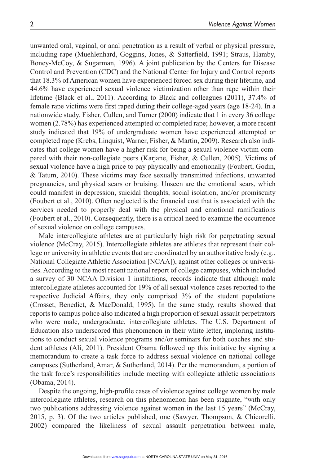unwanted oral, vaginal, or anal penetration as a result of verbal or physical pressure, including rape (Muehlenhard, Goggins, Jones, & Satterfield, 1991; Straus, Hamby, Boney-McCoy, & Sugarman, 1996). A joint publication by the Centers for Disease Control and Prevention (CDC) and the National Center for Injury and Control reports that 18.3% of American women have experienced forced sex during their lifetime, and 44.6% have experienced sexual violence victimization other than rape within their lifetime (Black et al., 2011). According to Black and colleagues (2011), 37.4% of female rape victims were first raped during their college-aged years (age 18-24). In a nationwide study, Fisher, Cullen, and Turner (2000) indicate that 1 in every 36 college women (2.78%) has experienced attempted or completed rape; however, a more recent study indicated that 19% of undergraduate women have experienced attempted or completed rape (Krebs, Linquist, Warner, Fisher, & Martin, 2009). Research also indicates that college women have a higher risk for being a sexual violence victim compared with their non-collegiate peers (Karjane, Fisher, & Cullen, 2005). Victims of sexual violence have a high price to pay physically and emotionally (Foubert, Godin, & Tatum, 2010). These victims may face sexually transmitted infections, unwanted pregnancies, and physical scars or bruising. Unseen are the emotional scars, which could manifest in depression, suicidal thoughts, social isolation, and/or promiscuity (Foubert et al., 2010). Often neglected is the financial cost that is associated with the services needed to properly deal with the physical and emotional ramifications (Foubert et al., 2010). Consequently, there is a critical need to examine the occurrence of sexual violence on college campuses.

Male intercollegiate athletes are at particularly high risk for perpetrating sexual violence (McCray, 2015). Intercollegiate athletes are athletes that represent their college or university in athletic events that are coordinated by an authoritative body (e.g., National Collegiate Athletic Association [NCAA]), against other colleges or universities. According to the most recent national report of college campuses, which included a survey of 30 NCAA Division 1 institutions, records indicate that although male intercollegiate athletes accounted for 19% of all sexual violence cases reported to the respective Judicial Affairs, they only comprised 3% of the student populations (Crosset, Benedict, & MacDonald, 1995). In the same study, results showed that reports to campus police also indicated a high proportion of sexual assault perpetrators who were male, undergraduate, intercollegiate athletes. The U.S. Department of Education also underscored this phenomenon in their white letter, imploring institutions to conduct sexual violence programs and/or seminars for both coaches and student athletes (Ali, 2011). President Obama followed up this initiative by signing a memorandum to create a task force to address sexual violence on national college campuses (Sutherland, Amar, & Sutherland, 2014). Per the memorandum, a portion of the task force's responsibilities include meeting with collegiate athletic associations (Obama, 2014).

Despite the ongoing, high-profile cases of violence against college women by male intercollegiate athletes, research on this phenomenon has been stagnate, "with only two publications addressing violence against women in the last 15 years" (McCray, 2015, p. 3). Of the two articles published, one (Sawyer, Thompson, & Chicorelli, 2002) compared the likeliness of sexual assault perpetration between male,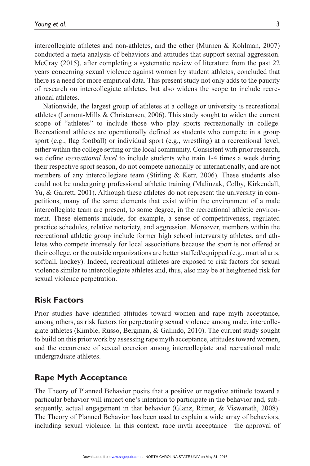intercollegiate athletes and non-athletes, and the other (Murnen & Kohlman, 2007) conducted a meta-analysis of behaviors and attitudes that support sexual aggression. McCray (2015), after completing a systematic review of literature from the past 22 years concerning sexual violence against women by student athletes, concluded that there is a need for more empirical data. This present study not only adds to the paucity of research on intercollegiate athletes, but also widens the scope to include recreational athletes.

Nationwide, the largest group of athletes at a college or university is recreational athletes (Lamont-Mills & Christensen, 2006). This study sought to widen the current scope of "athletes" to include those who play sports recreationally in college. Recreational athletes are operationally defined as students who compete in a group sport (e.g., flag football) or individual sport (e.g., wrestling) at a recreational level, either within the college setting or the local community. Consistent with prior research, we define *recreational level* to include students who train 1-4 times a week during their respective sport season, do not compete nationally or internationally, and are not members of any intercollegiate team (Stirling & Kerr, 2006). These students also could not be undergoing professional athletic training (Malinzak, Colby, Kirkendall, Yu, & Garrett, 2001). Although these athletes do not represent the university in competitions, many of the same elements that exist within the environment of a male intercollegiate team are present, to some degree, in the recreational athletic environment. These elements include, for example, a sense of competitiveness, regulated practice schedules, relative notoriety, and aggression. Moreover, members within the recreational athletic group include former high school intervarsity athletes, and athletes who compete intensely for local associations because the sport is not offered at their college, or the outside organizations are better staffed/equipped (e.g., martial arts, softball, hockey). Indeed, recreational athletes are exposed to risk factors for sexual violence similar to intercollegiate athletes and, thus, also may be at heightened risk for sexual violence perpetration.

# **Risk Factors**

Prior studies have identified attitudes toward women and rape myth acceptance, among others, as risk factors for perpetrating sexual violence among male, intercollegiate athletes (Kimble, Russo, Bergman, & Galindo, 2010). The current study sought to build on this prior work by assessing rape myth acceptance, attitudes toward women, and the occurrence of sexual coercion among intercollegiate and recreational male undergraduate athletes.

# **Rape Myth Acceptance**

The Theory of Planned Behavior posits that a positive or negative attitude toward a particular behavior will impact one's intention to participate in the behavior and, subsequently, actual engagement in that behavior (Glanz, Rimer, & Viswanath, 2008). The Theory of Planned Behavior has been used to explain a wide array of behaviors, including sexual violence. In this context, rape myth acceptance—the approval of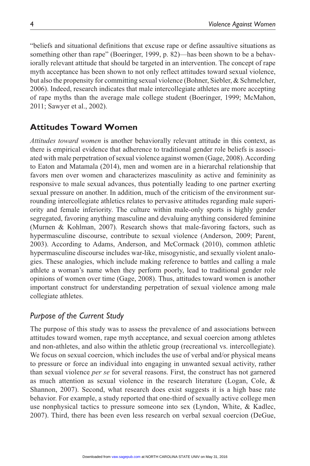"beliefs and situational definitions that excuse rape or define assaultive situations as something other than rape" (Boeringer, 1999, p. 82)—has been shown to be a behaviorally relevant attitude that should be targeted in an intervention. The concept of rape myth acceptance has been shown to not only reflect attitudes toward sexual violence, but also the propensity for committing sexual violence (Bohner, Siebler, & Schmelcher, 2006). Indeed, research indicates that male intercollegiate athletes are more accepting of rape myths than the average male college student (Boeringer, 1999; McMahon, 2011; Sawyer et al., 2002).

# **Attitudes Toward Women**

*Attitudes toward women* is another behaviorally relevant attitude in this context, as there is empirical evidence that adherence to traditional gender role beliefs is associated with male perpetration of sexual violence against women (Gage, 2008). According to Eaton and Matamala (2014), men and women are in a hierarchal relationship that favors men over women and characterizes masculinity as active and femininity as responsive to male sexual advances, thus potentially leading to one partner exerting sexual pressure on another. In addition, much of the criticism of the environment surrounding intercollegiate athletics relates to pervasive attitudes regarding male superiority and female inferiority. The culture within male-only sports is highly gender segregated, favoring anything masculine and devaluing anything considered feminine (Murnen & Kohlman, 2007). Research shows that male-favoring factors, such as hypermasculine discourse, contribute to sexual violence (Anderson, 2009; Parent, 2003). According to Adams, Anderson, and McCormack (2010), common athletic hypermasculine discourse includes war-like, misogynistic, and sexually violent analogies. These analogies, which include making reference to battles and calling a male athlete a woman's name when they perform poorly, lead to traditional gender role opinions of women over time (Gage, 2008). Thus, attitudes toward women is another important construct for understanding perpetration of sexual violence among male collegiate athletes.

# *Purpose of the Current Study*

The purpose of this study was to assess the prevalence of and associations between attitudes toward women, rape myth acceptance, and sexual coercion among athletes and non-athletes, and also within the athletic group (recreational vs. intercollegiate). We focus on sexual coercion, which includes the use of verbal and/or physical means to pressure or force an individual into engaging in unwanted sexual activity, rather than sexual violence *per se* for several reasons. First, the construct has not garnered as much attention as sexual violence in the research literature (Logan, Cole, & Shannon, 2007). Second, what research does exist suggests it is a high base rate behavior. For example, a study reported that one-third of sexually active college men use nonphysical tactics to pressure someone into sex (Lyndon, White, & Kadlec, 2007). Third, there has been even less research on verbal sexual coercion (DeGue,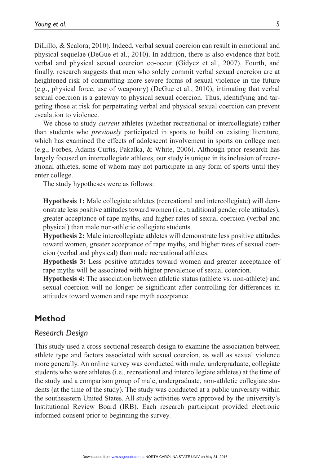DiLillo, & Scalora, 2010). Indeed, verbal sexual coercion can result in emotional and physical sequelae (DeGue et al., 2010). In addition, there is also evidence that both verbal and physical sexual coercion co-occur (Gidycz et al., 2007). Fourth, and finally, research suggests that men who solely commit verbal sexual coercion are at heightened risk of committing more severe forms of sexual violence in the future (e.g., physical force, use of weaponry) (DeGue et al., 2010), intimating that verbal sexual coercion is a gateway to physical sexual coercion. Thus, identifying and targeting those at risk for perpetrating verbal and physical sexual coercion can prevent escalation to violence.

We chose to study *current* athletes (whether recreational or intercollegiate) rather than students who *previously* participated in sports to build on existing literature, which has examined the effects of adolescent involvement in sports on college men (e.g., Forbes, Adams-Curtis, Pakalka, & White, 2006). Although prior research has largely focused on intercollegiate athletes, our study is unique in its inclusion of recreational athletes, some of whom may not participate in any form of sports until they enter college.

The study hypotheses were as follows:

**Hypothesis 1:** Male collegiate athletes (recreational and intercollegiate) will demonstrate less positive attitudes toward women (i.e., traditional gender role attitudes), greater acceptance of rape myths, and higher rates of sexual coercion (verbal and physical) than male non-athletic collegiate students.

**Hypothesis 2:** Male intercollegiate athletes will demonstrate less positive attitudes toward women, greater acceptance of rape myths, and higher rates of sexual coercion (verbal and physical) than male recreational athletes.

**Hypothesis 3:** Less positive attitudes toward women and greater acceptance of rape myths will be associated with higher prevalence of sexual coercion.

**Hypothesis 4:** The association between athletic status (athlete vs. non-athlete) and sexual coercion will no longer be significant after controlling for differences in attitudes toward women and rape myth acceptance.

## **Method**

## *Research Design*

This study used a cross-sectional research design to examine the association between athlete type and factors associated with sexual coercion, as well as sexual violence more generally. An online survey was conducted with male, undergraduate, collegiate students who were athletes (i.e., recreational and intercollegiate athletes) at the time of the study and a comparison group of male, undergraduate, non-athletic collegiate students (at the time of the study). The study was conducted at a public university within the southeastern United States. All study activities were approved by the university's Institutional Review Board (IRB). Each research participant provided electronic informed consent prior to beginning the survey.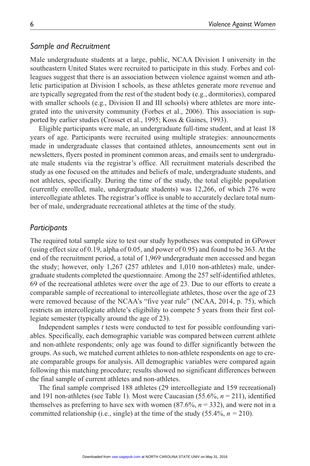### *Sample and Recruitment*

Male undergraduate students at a large, public, NCAA Division I university in the southeastern United States were recruited to participate in this study. Forbes and colleagues suggest that there is an association between violence against women and athletic participation at Division I schools, as these athletes generate more revenue and are typically segregated from the rest of the student body (e.g., dormitories), compared with smaller schools (e.g., Division II and III schools) where athletes are more integrated into the university community (Forbes et al., 2006). This association is supported by earlier studies (Crosset et al., 1995; Koss & Gaines, 1993).

Eligible participants were male, an undergraduate full-time student, and at least 18 years of age. Participants were recruited using multiple strategies: announcements made in undergraduate classes that contained athletes, announcements sent out in newsletters, flyers posted in prominent common areas, and emails sent to undergraduate male students via the registrar's office. All recruitment materials described the study as one focused on the attitudes and beliefs of male, undergraduate students, and not athletes, specifically. During the time of the study, the total eligible population (currently enrolled, male, undergraduate students) was 12,266, of which 276 were intercollegiate athletes. The registrar's office is unable to accurately declare total number of male, undergraduate recreational athletes at the time of the study.

### *Participants*

The required total sample size to test our study hypotheses was computed in GPower (using effect size of 0.19, alpha of 0.05, and power of 0.95) and found to be 363. At the end of the recruitment period, a total of 1,969 undergraduate men accessed and began the study; however, only 1,267 (257 athletes and 1,010 non-athletes) male, undergraduate students completed the questionnaire. Among the 257 self-identified athletes, 69 of the recreational athletes were over the age of 23. Due to our efforts to create a comparable sample of recreational to intercollegiate athletes, those over the age of 23 were removed because of the NCAA's "five year rule" (NCAA, 2014, p. 75), which restricts an intercollegiate athlete's eligibility to compete 5 years from their first collegiate semester (typically around the age of 23).

Independent samples *t* tests were conducted to test for possible confounding variables. Specifically, each demographic variable was compared between current athlete and non-athlete respondents; only age was found to differ significantly between the groups. As such, we matched current athletes to non-athlete respondents on age to create comparable groups for analysis. All demographic variables were compared again following this matching procedure; results showed no significant differences between the final sample of current athletes and non-athletes.

The final sample comprised 188 athletes (29 intercollegiate and 159 recreational) and 191 non-athletes (see Table 1). Most were Caucasian (55.6%, *n* = 211), identified themselves as preferring to have sex with women  $(87.6\%, n = 332)$ , and were not in a committed relationship (i.e., single) at the time of the study (55.4%, *n =* 210).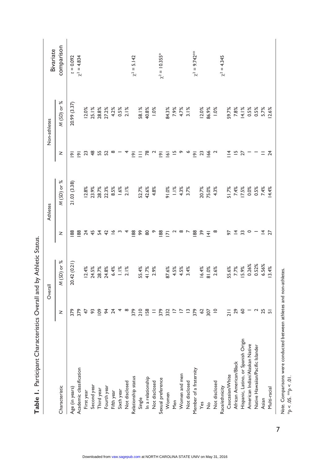| 78<br>166<br>$\frac{8}{3}$<br>œ<br>$\frac{4}{1}$<br>므<br>55<br>끄<br>$\circ$<br>23<br>$\sim$<br>27<br>52<br>z<br>$\overline{9}$<br>Ξ<br>$\overline{2}$<br>$\overline{\circ}$<br>$\overline{9}$<br>ᅙ<br>ò<br>M (SD) or %<br>21.03 (3.38)<br>12.8%<br>23.9%<br>28.7%<br>28.5%<br>0.6%<br>1.6%<br>52.7%<br>42.6%<br>4.8%<br>$-4.3\%$<br>$-4.3\%$<br>7%<br>74%<br>17.5%<br>0.0%<br>74%<br>91.0%<br>20.7%<br>75.0%<br>4.3%<br>ଚ୍ଚ<br>80<br>88<br>88<br>39<br>ᅕ<br>$\overline{4}$<br>88<br>$\overline{5}$<br>24<br>88<br>$\infty$<br>$\infty$<br>56<br>33<br>$\circ$<br>88<br>$\frac{4}{5}$<br>42<br>≌<br>z<br>$\overline{\mathbf{r}}$<br>₹<br>M (SD) or %<br>20.42 (0.21)<br>0.52%<br>6.56%<br>0.26%<br>55.6%<br>7.7%<br>IS.9%<br>12.4%<br>24.5%<br>28.7%<br>24.8%<br>81.0%<br>2.6%<br>6.4%<br>$1.1%$<br>2.1%<br>55.4%<br>41.7%<br>2.9%<br>87.6%<br>4.5%<br>4.5%<br>3.4%<br>6.4%<br>29<br>379<br>93<br>$\overline{6}$<br>रू २<br>$\infty$<br>379<br>210<br><b>158</b><br>$\equiv \frac{8}{2}$<br>$\frac{2}{2}$ $\frac{5}{2}$ $\frac{1}{2}$<br>$\tilde{=}$<br>379<br>62<br>307<br>$\overline{a}$<br>S)<br>$\sim$<br>47<br>55<br>379<br>$\frac{1}{2}$<br>z<br>iish Origin<br>Native<br>Native Hawaiian/Pacific Islander<br>African American/Black<br>Hispanic, Latino, or Span<br>American Indian/Alaskan<br>Academic classification<br>Member of a fraternity<br>Women and men<br>Caucasian/White<br>Single<br>In a relationship<br>Relationship status<br>Sexual preference<br>Not disclosed<br>Not disclosed<br>Not disclosed<br>Not disclosed<br>Second year<br>Characteristic<br>Race/ethnicity<br>Fourth year<br>Age (in years)<br>Third year<br>First year<br>Sixth year<br>Fifth year<br>Women<br>Men<br>Asian<br>Yes<br>$\frac{1}{2}$ |              |   | Overall |    | Athletes |    | Non-athletes                            | Bivariate           |
|----------------------------------------------------------------------------------------------------------------------------------------------------------------------------------------------------------------------------------------------------------------------------------------------------------------------------------------------------------------------------------------------------------------------------------------------------------------------------------------------------------------------------------------------------------------------------------------------------------------------------------------------------------------------------------------------------------------------------------------------------------------------------------------------------------------------------------------------------------------------------------------------------------------------------------------------------------------------------------------------------------------------------------------------------------------------------------------------------------------------------------------------------------------------------------------------------------------------------------------------------------------------------------------------------------------------------------------------------------------------------------------------------------------------------------------------------------------------------------------------------------------------------------------------------------------------------------------------------------------------------------------------------------------------------------------------------------------------------------------|--------------|---|---------|----|----------|----|-----------------------------------------|---------------------|
|                                                                                                                                                                                                                                                                                                                                                                                                                                                                                                                                                                                                                                                                                                                                                                                                                                                                                                                                                                                                                                                                                                                                                                                                                                                                                                                                                                                                                                                                                                                                                                                                                                                                                                                                        |              |   |         |    |          |    | M (SD) or %                             | comparison          |
|                                                                                                                                                                                                                                                                                                                                                                                                                                                                                                                                                                                                                                                                                                                                                                                                                                                                                                                                                                                                                                                                                                                                                                                                                                                                                                                                                                                                                                                                                                                                                                                                                                                                                                                                        |              |   |         |    |          |    | 20.99 (3.37)                            | $t = 0.092$         |
|                                                                                                                                                                                                                                                                                                                                                                                                                                                                                                                                                                                                                                                                                                                                                                                                                                                                                                                                                                                                                                                                                                                                                                                                                                                                                                                                                                                                                                                                                                                                                                                                                                                                                                                                        |              |   |         |    |          |    |                                         | $\chi^2 = 4.834$    |
|                                                                                                                                                                                                                                                                                                                                                                                                                                                                                                                                                                                                                                                                                                                                                                                                                                                                                                                                                                                                                                                                                                                                                                                                                                                                                                                                                                                                                                                                                                                                                                                                                                                                                                                                        |              |   |         |    |          |    | 12.0%                                   |                     |
|                                                                                                                                                                                                                                                                                                                                                                                                                                                                                                                                                                                                                                                                                                                                                                                                                                                                                                                                                                                                                                                                                                                                                                                                                                                                                                                                                                                                                                                                                                                                                                                                                                                                                                                                        |              |   |         |    |          |    |                                         |                     |
|                                                                                                                                                                                                                                                                                                                                                                                                                                                                                                                                                                                                                                                                                                                                                                                                                                                                                                                                                                                                                                                                                                                                                                                                                                                                                                                                                                                                                                                                                                                                                                                                                                                                                                                                        |              |   |         |    |          |    |                                         |                     |
|                                                                                                                                                                                                                                                                                                                                                                                                                                                                                                                                                                                                                                                                                                                                                                                                                                                                                                                                                                                                                                                                                                                                                                                                                                                                                                                                                                                                                                                                                                                                                                                                                                                                                                                                        |              |   |         |    |          |    |                                         |                     |
|                                                                                                                                                                                                                                                                                                                                                                                                                                                                                                                                                                                                                                                                                                                                                                                                                                                                                                                                                                                                                                                                                                                                                                                                                                                                                                                                                                                                                                                                                                                                                                                                                                                                                                                                        |              |   |         |    |          |    |                                         |                     |
|                                                                                                                                                                                                                                                                                                                                                                                                                                                                                                                                                                                                                                                                                                                                                                                                                                                                                                                                                                                                                                                                                                                                                                                                                                                                                                                                                                                                                                                                                                                                                                                                                                                                                                                                        |              |   |         |    |          |    | 25.1%<br>28.8%<br>27.2%<br>4.2%<br>0.5% |                     |
|                                                                                                                                                                                                                                                                                                                                                                                                                                                                                                                                                                                                                                                                                                                                                                                                                                                                                                                                                                                                                                                                                                                                                                                                                                                                                                                                                                                                                                                                                                                                                                                                                                                                                                                                        |              |   |         |    |          |    |                                         |                     |
|                                                                                                                                                                                                                                                                                                                                                                                                                                                                                                                                                                                                                                                                                                                                                                                                                                                                                                                                                                                                                                                                                                                                                                                                                                                                                                                                                                                                                                                                                                                                                                                                                                                                                                                                        |              |   |         |    |          |    |                                         | $\chi^2 = 5.142$    |
|                                                                                                                                                                                                                                                                                                                                                                                                                                                                                                                                                                                                                                                                                                                                                                                                                                                                                                                                                                                                                                                                                                                                                                                                                                                                                                                                                                                                                                                                                                                                                                                                                                                                                                                                        |              |   |         |    |          |    |                                         |                     |
|                                                                                                                                                                                                                                                                                                                                                                                                                                                                                                                                                                                                                                                                                                                                                                                                                                                                                                                                                                                                                                                                                                                                                                                                                                                                                                                                                                                                                                                                                                                                                                                                                                                                                                                                        |              |   |         |    |          |    | 58.1%<br>40.8%                          |                     |
|                                                                                                                                                                                                                                                                                                                                                                                                                                                                                                                                                                                                                                                                                                                                                                                                                                                                                                                                                                                                                                                                                                                                                                                                                                                                                                                                                                                                                                                                                                                                                                                                                                                                                                                                        |              |   |         |    |          |    | 1.0%                                    |                     |
|                                                                                                                                                                                                                                                                                                                                                                                                                                                                                                                                                                                                                                                                                                                                                                                                                                                                                                                                                                                                                                                                                                                                                                                                                                                                                                                                                                                                                                                                                                                                                                                                                                                                                                                                        |              |   |         |    |          |    |                                         | $\chi^2 = 10.355$ * |
|                                                                                                                                                                                                                                                                                                                                                                                                                                                                                                                                                                                                                                                                                                                                                                                                                                                                                                                                                                                                                                                                                                                                                                                                                                                                                                                                                                                                                                                                                                                                                                                                                                                                                                                                        |              |   |         |    |          |    |                                         |                     |
|                                                                                                                                                                                                                                                                                                                                                                                                                                                                                                                                                                                                                                                                                                                                                                                                                                                                                                                                                                                                                                                                                                                                                                                                                                                                                                                                                                                                                                                                                                                                                                                                                                                                                                                                        |              |   |         |    |          |    | 84.3%<br>7.9%                           |                     |
|                                                                                                                                                                                                                                                                                                                                                                                                                                                                                                                                                                                                                                                                                                                                                                                                                                                                                                                                                                                                                                                                                                                                                                                                                                                                                                                                                                                                                                                                                                                                                                                                                                                                                                                                        |              |   |         |    |          |    | 4.7%                                    |                     |
|                                                                                                                                                                                                                                                                                                                                                                                                                                                                                                                                                                                                                                                                                                                                                                                                                                                                                                                                                                                                                                                                                                                                                                                                                                                                                                                                                                                                                                                                                                                                                                                                                                                                                                                                        |              |   |         |    |          |    | 3.1%                                    |                     |
|                                                                                                                                                                                                                                                                                                                                                                                                                                                                                                                                                                                                                                                                                                                                                                                                                                                                                                                                                                                                                                                                                                                                                                                                                                                                                                                                                                                                                                                                                                                                                                                                                                                                                                                                        |              |   |         |    |          |    |                                         | $\chi^2 = 9.742***$ |
|                                                                                                                                                                                                                                                                                                                                                                                                                                                                                                                                                                                                                                                                                                                                                                                                                                                                                                                                                                                                                                                                                                                                                                                                                                                                                                                                                                                                                                                                                                                                                                                                                                                                                                                                        |              |   |         |    |          |    | $ 2.0\%$                                |                     |
|                                                                                                                                                                                                                                                                                                                                                                                                                                                                                                                                                                                                                                                                                                                                                                                                                                                                                                                                                                                                                                                                                                                                                                                                                                                                                                                                                                                                                                                                                                                                                                                                                                                                                                                                        |              |   |         |    |          |    | 86.9%                                   |                     |
|                                                                                                                                                                                                                                                                                                                                                                                                                                                                                                                                                                                                                                                                                                                                                                                                                                                                                                                                                                                                                                                                                                                                                                                                                                                                                                                                                                                                                                                                                                                                                                                                                                                                                                                                        |              |   |         |    |          |    | 1.0%                                    |                     |
|                                                                                                                                                                                                                                                                                                                                                                                                                                                                                                                                                                                                                                                                                                                                                                                                                                                                                                                                                                                                                                                                                                                                                                                                                                                                                                                                                                                                                                                                                                                                                                                                                                                                                                                                        |              |   |         |    |          |    |                                         | $\chi^2$ = 4.345    |
|                                                                                                                                                                                                                                                                                                                                                                                                                                                                                                                                                                                                                                                                                                                                                                                                                                                                                                                                                                                                                                                                                                                                                                                                                                                                                                                                                                                                                                                                                                                                                                                                                                                                                                                                        |              |   |         |    |          |    | 59.7%                                   |                     |
|                                                                                                                                                                                                                                                                                                                                                                                                                                                                                                                                                                                                                                                                                                                                                                                                                                                                                                                                                                                                                                                                                                                                                                                                                                                                                                                                                                                                                                                                                                                                                                                                                                                                                                                                        |              |   |         |    |          |    | 7.8%                                    |                     |
|                                                                                                                                                                                                                                                                                                                                                                                                                                                                                                                                                                                                                                                                                                                                                                                                                                                                                                                                                                                                                                                                                                                                                                                                                                                                                                                                                                                                                                                                                                                                                                                                                                                                                                                                        |              |   |         |    |          |    | 14.1%                                   |                     |
|                                                                                                                                                                                                                                                                                                                                                                                                                                                                                                                                                                                                                                                                                                                                                                                                                                                                                                                                                                                                                                                                                                                                                                                                                                                                                                                                                                                                                                                                                                                                                                                                                                                                                                                                        |              |   |         |    |          |    | 0.5%                                    |                     |
|                                                                                                                                                                                                                                                                                                                                                                                                                                                                                                                                                                                                                                                                                                                                                                                                                                                                                                                                                                                                                                                                                                                                                                                                                                                                                                                                                                                                                                                                                                                                                                                                                                                                                                                                        |              |   |         |    |          |    | 0.5%                                    |                     |
|                                                                                                                                                                                                                                                                                                                                                                                                                                                                                                                                                                                                                                                                                                                                                                                                                                                                                                                                                                                                                                                                                                                                                                                                                                                                                                                                                                                                                                                                                                                                                                                                                                                                                                                                        |              |   |         |    |          |    | 5.7%                                    |                     |
|                                                                                                                                                                                                                                                                                                                                                                                                                                                                                                                                                                                                                                                                                                                                                                                                                                                                                                                                                                                                                                                                                                                                                                                                                                                                                                                                                                                                                                                                                                                                                                                                                                                                                                                                        | Multi-racial | 淸 | 3.4%    | Z, | 4.4%     | 24 | 12.6%                                   |                     |

Table 1. Participant Characteristics Overall and by Athletic Status. **Table 1.** Participant Characteristics Overall and by Athletic Status.

Note. Comparisons were conducted between athletes and non-athletes.<br>\*p < .05. \*\*p < .01. *Note.* Comparisons were conducted between athletes and non-athletes. \**p* < .05. \*\**p* < .01.

7

Downloaded from [vaw.sagepub.com](http://vaw.sagepub.com/) at NORTH CAROLINA STATE UNIV on May 31, 2016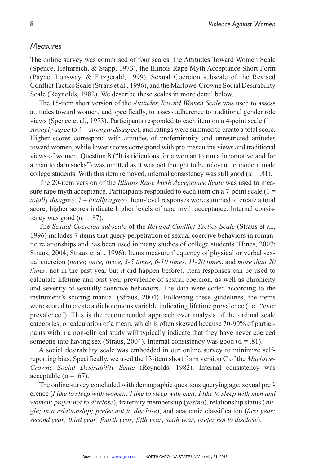### *Measures*

The online survey was comprised of four scales: the Attitudes Toward Women Scale (Spence, Helmreich, & Stapp, 1973), the Illinois Rape Myth Acceptance Short Form (Payne, Lonsway, & Fitzgerald, 1999), Sexual Coercion subscale of the Revised Conflict Tactics Scale (Straus et al., 1996), and the Marlowe-Crowne Social Desirability Scale (Reynolds, 1982). We describe these scales in more detail below.

The 15-item short version of the *Attitudes Toward Women Scale* was used to assess attitudes toward women, and specifically, to assess adherence to traditional gender role views (Spence et al., 1973). Participants responded to each item on a 4-point scale ( $1 =$ *strongly agree* to 4 = *strongly disagree*), and ratings were summed to create a total score. Higher scores correspond with attitudes of profemininity and unrestricted attitudes toward women, while lower scores correspond with pro-masculine views and traditional views of women. Question 8 ("It is ridiculous for a woman to run a locomotive and for a man to darn socks") was omitted as it was not thought to be relevant to modern male college students. With this item removed, internal consistency was still good ( $\alpha$  = .81).

The 20-item version of the *Illinois Rape Myth Acceptance Scale* was used to measure rape myth acceptance. Participants responded to each item on a 7-point scale  $(1 =$ *totally disagree*, 7 = *totally agree*). Item-level responses were summed to create a total score; higher scores indicate higher levels of rape myth acceptance. Internal consistency was good ( $\alpha = .87$ ).

The *Sexual Coercion subscale* of the *Revised Conflict Tactics Scale* (Straus et al., 1996) includes 7 items that query perpetration of sexual coercive behaviors in romantic relationships and has been used in many studies of college students (Hines, 2007; Straus, 2004; Straus et al., 1996). Items measure frequency of physical or verbal sexual coercion (*never, once, twice, 3-5 times, 6-10 times, 11-20 times*, and *more than 20 times*, not in the past year but it did happen before). Item responses can be used to calculate lifetime and past year prevalence of sexual coercion, as well as chronicity and severity of sexually coercive behaviors. The data were coded according to the instrument's scoring manual (Straus, 2004). Following these guidelines, the items were scored to create a dichotomous variable indicating lifetime prevalence (i.e., "ever prevalence"). This is the recommended approach over analysis of the ordinal scale categories, or calculation of a mean, which is often skewed because 70-90% of participants within a non-clinical study will typically indicate that they have never coerced someone into having sex (Straus, 2004). Internal consistency was good ( $\alpha$  = .81).

A social desirability scale was embedded in our online survey to minimize selfreporting bias. Specifically, we used the 13-item short form version C of the *Marlowe-Crowne Social Desirability Scale* (Reynolds, 1982). Internal consistency was acceptable ( $α = .67$ ).

The online survey concluded with demographic questions querying age, sexual preference (*I like to sleep with women; I like to sleep with men; I like to sleep with men and women; prefer not to disclose*), fraternity membership (*yes*/*no*), relationship status (*single; in a relationship; prefer not to disclose*), and academic classification (*first year; second year; third year; fourth year; fifth year; sixth year; prefer not to disclose*).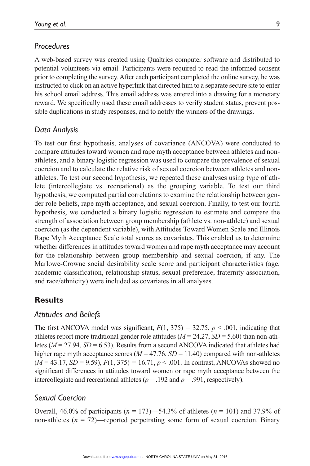## *Procedures*

A web-based survey was created using Qualtrics computer software and distributed to potential volunteers via email. Participants were required to read the informed consent prior to completing the survey. After each participant completed the online survey, he was instructed to click on an active hyperlink that directed him to a separate secure site to enter his school email address. This email address was entered into a drawing for a monetary reward. We specifically used these email addresses to verify student status, prevent possible duplications in study responses, and to notify the winners of the drawings.

## *Data Analysis*

To test our first hypothesis, analyses of covariance (ANCOVA) were conducted to compare attitudes toward women and rape myth acceptance between athletes and nonathletes, and a binary logistic regression was used to compare the prevalence of sexual coercion and to calculate the relative risk of sexual coercion between athletes and nonathletes. To test our second hypothesis, we repeated these analyses using type of athlete (intercollegiate vs. recreational) as the grouping variable. To test our third hypothesis, we computed partial correlations to examine the relationship between gender role beliefs, rape myth acceptance, and sexual coercion. Finally, to test our fourth hypothesis, we conducted a binary logistic regression to estimate and compare the strength of association between group membership (athlete vs. non-athlete) and sexual coercion (as the dependent variable), with Attitudes Toward Women Scale and Illinois Rape Myth Acceptance Scale total scores as covariates. This enabled us to determine whether differences in attitudes toward women and rape myth acceptance may account for the relationship between group membership and sexual coercion, if any. The Marlowe-Crowne social desirability scale score and participant characteristics (age, academic classification, relationship status, sexual preference, fraternity association, and race/ethnicity) were included as covariates in all analyses.

# **Results**

### *Attitudes and Beliefs*

The first ANCOVA model was significant,  $F(1, 375) = 32.75$ ,  $p < .001$ , indicating that athletes report more traditional gender role attitudes ( $M = 24.27$ ,  $SD = 5.60$ ) than non-athletes ( $M = 27.94$ ,  $SD = 6.53$ ). Results from a second ANCOVA indicated that athletes had higher rape myth acceptance scores ( $M = 47.76$ ,  $SD = 11.40$ ) compared with non-athletes (*M* = 43.17, *SD* = 9.59), *F*(1, 375) *=* 16.71, *p* < .001. In contrast, ANCOVAs showed no significant differences in attitudes toward women or rape myth acceptance between the intercollegiate and recreational athletes ( $p = .192$  and  $p = .991$ , respectively).

## *Sexual Coercion*

Overall, 46.0% of participants (*n* = 173)—54.3% of athletes (*n* = 101) and 37.9% of non-athletes (*n* = 72)—reported perpetrating some form of sexual coercion. Binary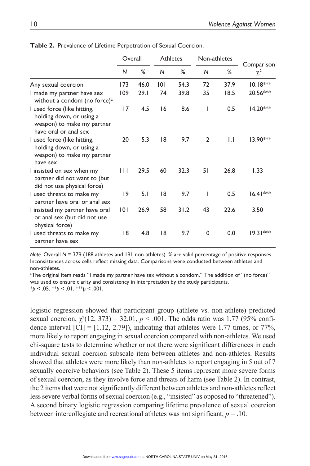|                                                                                                                | Overall |      | Athletes |      | Non-athletes   |      |                        |
|----------------------------------------------------------------------------------------------------------------|---------|------|----------|------|----------------|------|------------------------|
|                                                                                                                | N       | %    | N        | %    | N              | %    | Comparison<br>$\chi^2$ |
| Any sexual coercion                                                                                            | 173     | 46.0 | 0        | 54.3 | 72             | 37.9 | $10.18***$             |
| I made my partner have sex<br>without a condom (no force) <sup>a</sup>                                         | 109     | 29.1 | 74       | 39.8 | 35             | 18.5 | 20.56***               |
| I used force (like hitting,<br>holding down, or using a<br>weapon) to make my partner<br>have oral or anal sex | 17      | 4.5  | 16       | 8.6  | I              | 0.5  | 14.20***               |
| I used force (like hitting,<br>holding down, or using a<br>weapon) to make my partner<br>have sex              | 20      | 5.3  | 18       | 9.7  | $\overline{2}$ | IJ   | $13.90***$             |
| I insisted on sex when my<br>partner did not want to (but<br>did not use physical force)                       | Ш       | 29.5 | 60       | 32.3 | 51             | 26.8 | 1.33                   |
| I used threats to make my<br>partner have oral or anal sex                                                     | 19      | 5.1  | 18       | 9.7  | ı              | 0.5  | $16.41***$             |
| I insisted my partner have oral<br>or anal sex (but did not use<br>physical force)                             | 101     | 26.9 | 58       | 31.2 | 43             | 22.6 | 3.50                   |
| I used threats to make my<br>partner have sex                                                                  | 18      | 4.8  | 18       | 9.7  | 0              | 0.0  | $19.31***$             |

**Table 2.** Prevalence of Lifetime Perpetration of Sexual Coercion.

*Note.* Overall  $N = 379$  (188 athletes and 191 non-athletes). % are valid percentage of positive responses. Inconsistences across cells reflect missing data. Comparisons were conducted between athletes and non-athletes.

a The original item reads "I made my partner have sex without a condom." The addition of "(no force)" was used to ensure clarity and consistency in interpretation by the study participants. \**p* < .05. \*\**p* < .01. \*\*\**p* < .001.

logistic regression showed that participant group (athlete vs. non-athlete) predicted sexual coercion,  $\chi^2(12, 373) = 32.01$ ,  $p < .001$ . The odds ratio was 1.77 (95% confidence interval  $\text{[CI]} = [1.12, 2.79]$ , indicating that athletes were 1.77 times, or 77%, more likely to report engaging in sexual coercion compared with non-athletes. We used chi-square tests to determine whether or not there were significant differences in each individual sexual coercion subscale item between athletes and non-athletes. Results showed that athletes were more likely than non-athletes to report engaging in 5 out of 7 sexually coercive behaviors (see Table 2). These 5 items represent more severe forms of sexual coercion, as they involve force and threats of harm (see Table 2). In contrast, the 2 items that were not significantly different between athletes and non-athletes reflect less severe verbal forms of sexual coercion (e.g., "insisted" as opposed to "threatened"). A second binary logistic regression comparing lifetime prevalence of sexual coercion between intercollegiate and recreational athletes was not significant, *p* = .10.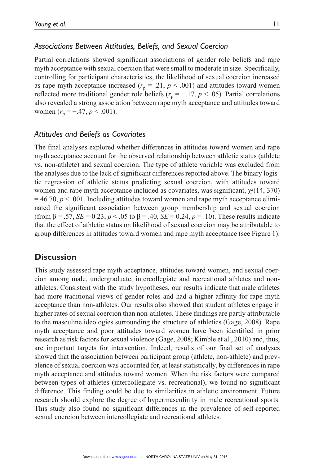## *Associations Between Attitudes, Beliefs, and Sexual Coercion*

Partial correlations showed significant associations of gender role beliefs and rape myth acceptance with sexual coercion that were small to moderate in size. Specifically, controlling for participant characteristics, the likelihood of sexual coercion increased as rape myth acceptance increased  $(r_p = .21, p < .001)$  and attitudes toward women reflected more traditional gender role beliefs ( $r_p = -.17$ ,  $p < .05$ ). Partial correlations also revealed a strong association between rape myth acceptance and attitudes toward women  $(r_p = -.47, p < .001)$ .

## *Attitudes and Beliefs as Covariates*

The final analyses explored whether differences in attitudes toward women and rape myth acceptance account for the observed relationship between athletic status (athlete vs. non-athlete) and sexual coercion. The type of athlete variable was excluded from the analyses due to the lack of significant differences reported above. The binary logistic regression of athletic status predicting sexual coercion, with attitudes toward women and rape myth acceptance included as covariates, was significant,  $\chi^2(14, 370)$  $= 46.70, p \le 0.001$ . Including attitudes toward women and rape myth acceptance eliminated the significant association between group membership and sexual coercion (from  $\beta = .57$ , *SE* = 0.23, *p* < .05 to  $\beta = .40$ , *SE* = 0.24, *p* = .10). These results indicate that the effect of athletic status on likelihood of sexual coercion may be attributable to group differences in attitudes toward women and rape myth acceptance (see Figure 1).

# **Discussion**

This study assessed rape myth acceptance, attitudes toward women, and sexual coercion among male, undergraduate, intercollegiate and recreational athletes and nonathletes. Consistent with the study hypotheses, our results indicate that male athletes had more traditional views of gender roles and had a higher affinity for rape myth acceptance than non-athletes. Our results also showed that student athletes engage in higher rates of sexual coercion than non-athletes. These findings are partly attributable to the masculine ideologies surrounding the structure of athletics (Gage, 2008). Rape myth acceptance and poor attitudes toward women have been identified in prior research as risk factors for sexual violence (Gage, 2008; Kimble et al., 2010) and, thus, are important targets for intervention. Indeed, results of our final set of analyses showed that the association between participant group (athlete, non-athlete) and prevalence of sexual coercion was accounted for, at least statistically, by differences in rape myth acceptance and attitudes toward women. When the risk factors were compared between types of athletes (intercollegiate vs. recreational), we found no significant difference. This finding could be due to similarities in athletic environment. Future research should explore the degree of hypermasculinity in male recreational sports. This study also found no significant differences in the prevalence of self-reported sexual coercion between intercollegiate and recreational athletes.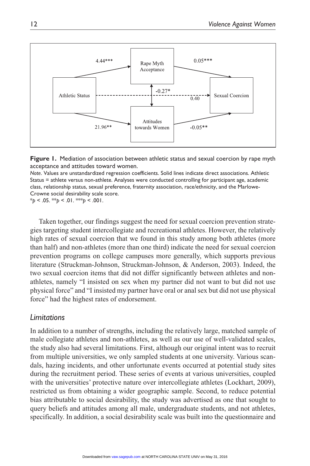



*Note*. Values are unstandardized regression coefficients. Solid lines indicate direct associations. Athletic Status = athlete versus non-athlete. Analyses were conducted controlling for participant age, academic class, relationship status, sexual preference, fraternity association, race/ethnicity, and the Marlowe-Crowne social desirability scale score.

\**p* < .05. \*\**p* < .01. \*\*\**p* < .001.

Taken together, our findings suggest the need for sexual coercion prevention strategies targeting student intercollegiate and recreational athletes. However, the relatively high rates of sexual coercion that we found in this study among both athletes (more than half) and non-athletes (more than one third) indicate the need for sexual coercion prevention programs on college campuses more generally, which supports previous literature (Struckman-Johnson, Struckman-Johnson, & Anderson, 2003). Indeed, the two sexual coercion items that did not differ significantly between athletes and nonathletes, namely "I insisted on sex when my partner did not want to but did not use physical force" and "I insisted my partner have oral or anal sex but did not use physical force" had the highest rates of endorsement.

### *Limitations*

In addition to a number of strengths, including the relatively large, matched sample of male collegiate athletes and non-athletes, as well as our use of well-validated scales, the study also had several limitations. First, although our original intent was to recruit from multiple universities, we only sampled students at one university. Various scandals, hazing incidents, and other unfortunate events occurred at potential study sites during the recruitment period. These series of events at various universities, coupled with the universities' protective nature over intercollegiate athletes (Lockhart, 2009), restricted us from obtaining a wider geographic sample. Second, to reduce potential bias attributable to social desirability, the study was advertised as one that sought to query beliefs and attitudes among all male, undergraduate students, and not athletes, specifically. In addition, a social desirability scale was built into the questionnaire and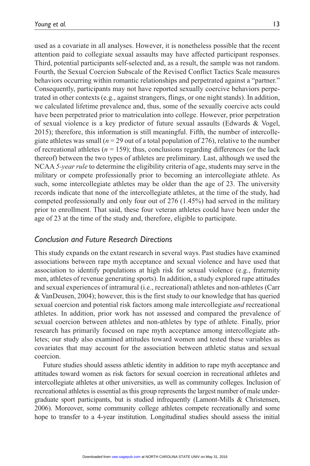used as a covariate in all analyses. However, it is nonetheless possible that the recent attention paid to collegiate sexual assaults may have affected participant responses. Third, potential participants self-selected and, as a result, the sample was not random. Fourth, the Sexual Coercion Subscale of the Revised Conflict Tactics Scale measures behaviors occurring within romantic relationships and perpetrated against a "partner." Consequently, participants may not have reported sexually coercive behaviors perpetrated in other contexts (e.g., against strangers, flings, or one night stands). In addition, we calculated lifetime prevalence and, thus, some of the sexually coercive acts could have been perpetrated prior to matriculation into college. However, prior perpetration of sexual violence is a key predictor of future sexual assaults (Edwards & Vogel, 2015); therefore, this information is still meaningful. Fifth, the number of intercollegiate athletes was small ( $n = 29$  out of a total population of 276), relative to the number of recreational athletes  $(n = 159)$ ; thus, conclusions regarding differences (or the lack thereof) between the two types of athletes are preliminary. Last, although we used the NCAA *5-year rule* to determine the eligibility criteria of age, students may serve in the military or compete professionally prior to becoming an intercollegiate athlete. As such, some intercollegiate athletes may be older than the age of 23. The university records indicate that none of the intercollegiate athletes, at the time of the study, had competed professionally and only four out of 276 (1.45%) had served in the military

prior to enrollment. That said, these four veteran athletes could have been under the age of 23 at the time of the study and, therefore, eligible to participate.

## *Conclusion and Future Research Directions*

This study expands on the extant research in several ways. Past studies have examined associations between rape myth acceptance and sexual violence and have used that association to identify populations at high risk for sexual violence (e.g., fraternity men, athletes of revenue generating sports). In addition, a study explored rape attitudes and sexual experiences of intramural (i.e., recreational) athletes and non-athletes (Carr & VanDeusen, 2004); however, this is the first study to our knowledge that has queried sexual coercion and potential risk factors among male intercollegiate *and* recreational athletes. In addition, prior work has not assessed and compared the prevalence of sexual coercion between athletes and non-athletes by type of athlete. Finally, prior research has primarily focused on rape myth acceptance among intercollegiate athletes; our study also examined attitudes toward women and tested these variables as covariates that may account for the association between athletic status and sexual coercion.

Future studies should assess athletic identity in addition to rape myth acceptance and attitudes toward women as risk factors for sexual coercion in recreational athletes and intercollegiate athletes at other universities, as well as community colleges. Inclusion of recreational athletes is essential as this group represents the largest number of male undergraduate sport participants, but is studied infrequently (Lamont-Mills & Christensen, 2006). Moreover, some community college athletes compete recreationally and some hope to transfer to a 4-year institution. Longitudinal studies should assess the initial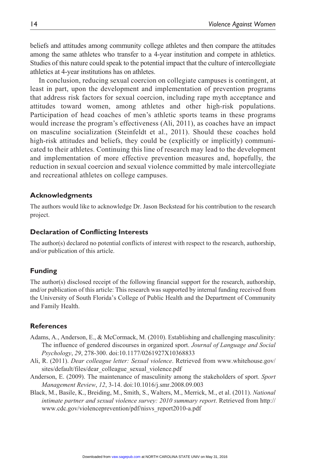beliefs and attitudes among community college athletes and then compare the attitudes among the same athletes who transfer to a 4-year institution and compete in athletics. Studies of this nature could speak to the potential impact that the culture of intercollegiate athletics at 4-year institutions has on athletes.

In conclusion, reducing sexual coercion on collegiate campuses is contingent, at least in part, upon the development and implementation of prevention programs that address risk factors for sexual coercion, including rape myth acceptance and attitudes toward women, among athletes and other high-risk populations. Participation of head coaches of men's athletic sports teams in these programs would increase the program's effectiveness (Ali, 2011), as coaches have an impact on masculine socialization (Steinfeldt et al., 2011). Should these coaches hold high-risk attitudes and beliefs, they could be (explicitly or implicitly) communicated to their athletes. Continuing this line of research may lead to the development and implementation of more effective prevention measures and, hopefully, the reduction in sexual coercion and sexual violence committed by male intercollegiate and recreational athletes on college campuses.

### **Acknowledgments**

The authors would like to acknowledge Dr. Jason Beckstead for his contribution to the research project.

#### **Declaration of Conflicting Interests**

The author(s) declared no potential conflicts of interest with respect to the research, authorship, and/or publication of this article.

#### **Funding**

The author(s) disclosed receipt of the following financial support for the research, authorship, and/or publication of this article: This research was supported by internal funding received from the University of South Florida's College of Public Health and the Department of Community and Family Health.

#### **References**

- Adams, A., Anderson, E., & McCormack, M. (2010). Establishing and challenging masculinity: The influence of gendered discourses in organized sport. *Journal of Language and Social Psychology*, *29*, 278-300. doi:10.1177/0261927X10368833
- Ali, R. (2011). *Dear colleague letter: Sexual violence*. Retrieved from [www.whitehouse.gov/](www.whitehouse.gov/sites/default/files/dear_colleague_sexual_violence.pdf) [sites/default/files/dear\\_colleague\\_sexual\\_violence.pdf](www.whitehouse.gov/sites/default/files/dear_colleague_sexual_violence.pdf)
- Anderson, E. (2009). The maintenance of masculinity among the stakeholders of sport. *Sport Management Review*, *12*, 3-14. doi:10.1016/j.smr.2008.09.003
- Black, M., Basile, K., Breiding, M., Smith, S., Walters, M., Merrick, M., et al. (2011). *National intimate partner and sexual violence survey: 2010 summary report*. Retrieved from [http://](http://www.cdc.gov/violenceprevention/pdf/nisvs_report2010-a.pdf) [www.cdc.gov/violenceprevention/pdf/nisvs\\_report2010-a.pdf](http://www.cdc.gov/violenceprevention/pdf/nisvs_report2010-a.pdf)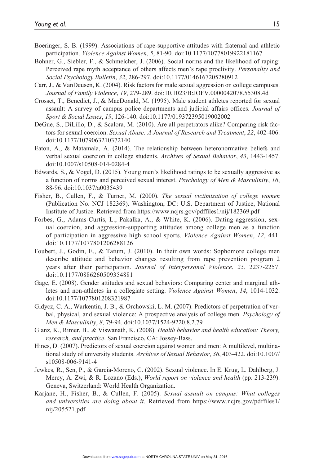- Boeringer, S. B. (1999). Associations of rape-supportive attitudes with fraternal and athletic participation. *Violence Against Women*, *5*, 81-90. doi:10.1177/10778019922181167
- Bohner, G., Siebler, F., & Schmelcher, J. (2006). Social norms and the likelihood of raping: Perceived rape myth acceptance of others affects men's rape proclivity. *Personality and Social Psychology Bulletin*, *32*, 286-297. doi:10.1177/0146167205280912
- Carr, J., & VanDeusen, K. (2004). Risk factors for male sexual aggression on college campuses. *Journal of Family Violence*, *19*, 279-289. doi:10.1023/B:JOFV.0000042078.55308.4d
- Crosset, T., Benedict, J., & MacDonald, M. (1995). Male student athletes reported for sexual assault: A survey of campus police departments and judicial affairs offices. *Journal of Sport & Social Issues*, *19*, 126-140. doi:10.1177/019372395019002002
- DeGue, S., DiLillo, D., & Scalora, M. (2010). Are all perpetrators alike? Comparing risk factors for sexual coercion. *Sexual Abuse: A Journal of Research and Treatment*, *22*, 402-406. doi:10.1177/1079063210372140
- Eaton, A., & Matamala, A. (2014). The relationship between heteronormative beliefs and verbal sexual coercion in college students. *Archives of Sexual Behavior*, *43*, 1443-1457. doi:10.1007/s10508-014-0284-4
- Edwards, S., & Vogel, D. (2015). Young men's likelihood ratings to be sexually aggressive as a function of norms and perceived sexual interest. *Psychology of Men & Masculinity*, *16*, 88-96. doi:10.1037/a0035439
- Fisher, B., Cullen, F., & Turner, M. (2000). *The sexual victimization of college women* (Publication No. NCJ 182369). Washington, DC: U.S. Department of Justice, National Institute of Justice. Retrieved from<https://www.ncjrs.gov/pdffiles1/nij/182369.pdf>
- Forbes, G., Adams-Curtis, L., Pakalka, A., & White, K. (2006). Dating aggression, sexual coercion, and aggression-supporting attitudes among college men as a function of participation in aggressive high school sports. *Violence Against Women*, *12*, 441. doi:10.1177/1077801206288126
- Foubert, J., Godin, E., & Tatum, J. (2010). In their own words: Sophomore college men describe attitude and behavior changes resulting from rape prevention program 2 years after their participation. *Journal of Interpersonal Violence*, *25*, 2237-2257. doi:10.1177/0886260509354881
- Gage, E. (2008). Gender attitudes and sexual behaviors: Comparing center and marginal athletes and non-athletes in a collegiate setting. *Violence Against Women*, *14*, 1014-1032. doi:10.1177/1077801208321987
- Gidycz, C. A., Warkentin, J. B., & Orchowski, L. M. (2007). Predictors of perpetration of verbal, physical, and sexual violence: A prospective analysis of college men. *Psychology of Men & Masculinity*, *8*, 79-94. doi:10.1037/1524-9220.8.2.79
- Glanz, K., Rimer, B., & Viswanath, K. (2008). *Health behavior and health education: Theory, research, and practice*. San Francisco, CA: Jossey-Bass.
- Hines, D. (2007). Predictors of sexual coercion against women and men: A multilevel, multinational study of university students. *Archives of Sexual Behavior*, *36*, 403-422. doi:10.1007/ s10508-006-9141-4
- Jewkes, R., Sen, P., & Garcia-Moreno, C. (2002). Sexual violence. In E. Krug, L. Dahlberg, J. Mercy, A. Zwi, & R. Lozano (Eds.), *World report on violence and health* (pp. 213-239). Geneva, Switzerland: World Health Organization.
- Karjane, H., Fisher, B., & Cullen, F. (2005). *Sexual assault on campus: What colleges and universities are doing about it*. Retrieved from [https://www.ncjrs.gov/pdffiles1/](https://www.ncjrs.gov/pdffiles1/nij/205521.pdf) [nij/205521.pdf](https://www.ncjrs.gov/pdffiles1/nij/205521.pdf)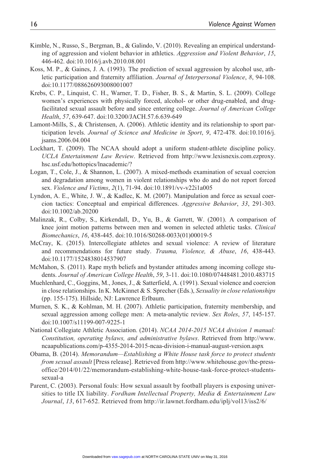- Kimble, N., Russo, S., Bergman, B., & Galindo, V. (2010). Revealing an empirical understanding of aggression and violent behavior in athletics. *Aggression and Violent Behavior*, *15*, 446-462. doi:10.1016/j.avb.2010.08.001
- Koss, M. P., & Gaines, J. A. (1993). The prediction of sexual aggression by alcohol use, athletic participation and fraternity affiliation. *Journal of Interpersonal Violence*, *8*, 94-108. doi:10.1177/088626093008001007
- Krebs, C. P., Linquist, C. H., Warner, T. D., Fisher, B. S., & Martin, S. L. (2009). College women's experiences with physically forced, alcohol- or other drug-enabled, and drugfacilitated sexual assault before and since entering college. *Journal of American College Health*, *57*, 639-647. doi:10.3200/JACH.57.6.639-649
- Lamont-Mills, S., & Christensen, A. (2006). Athletic identity and its relationship to sport participation levels. *Journal of Science and Medicine in Sport*, *9*, 472-478. doi:10.1016/j. jsams.2006.04.004
- Lockhart, T. (2009). The NCAA should adopt a uniform student-athlete discipline policy. *UCLA Entertainment Law Review*. Retrieved from [http://www.lexisnexis.com.ezproxy.](http://www.lexisnexis.com.ezproxy.hsc.usf.edu/hottopics/lnacademic/) [hsc.usf.edu/hottopics/lnacademic/?](http://www.lexisnexis.com.ezproxy.hsc.usf.edu/hottopics/lnacademic/)
- Logan, T., Cole, J., & Shannon, L. (2007). A mixed-methods examination of sexual coercion and degradation among women in violent relationships who do and do not report forced sex. *Violence and Victims*, *2*(1), 71-94. doi:10.1891/vv-v22i1a005
- Lyndon, A. E., White, J. W., & Kadlec, K. M. (2007). Manipulation and force as sexual coercion tactics: Conceptual and empirical differences. *Aggressive Behavior*, *33*, 291-303. doi:10.1002/ab.20200
- Malinzak, R., Colby, S., Kirkendall, D., Yu, B., & Garrett, W. (2001). A comparison of knee joint motion patterns between men and women in selected athletic tasks. *Clinical Biomechanics*, *16*, 438-445. doi:10.1016/S0268-0033(01)00019-5
- McCray, K. (2015). Intercollegiate athletes and sexual violence: A review of literature and recommendations for future study. *Trauma, Violence, & Abuse*, *16*, 438-443. doi:10.1177/1524838014537907
- McMahon, S. (2011). Rape myth beliefs and bystander attitudes among incoming college students. *Journal of American College Health*, *59*, 3-11. doi:10.1080/07448481.2010.483715
- Muehlenhard, C., Goggins, M., Jones, J., & Satterfield, A. (1991). Sexual violence and coercion in close relationships. In K. McKinnet & S. Sprecher (Eds.), *Sexuality in close relationships* (pp. 155-175). Hillside, NJ: Lawrence Erlbaum.
- Murnen, S. K., & Kohlman, M. H. (2007). Athletic participation, fraternity membership, and sexual aggression among college men: A meta-analytic review. *Sex Roles*, *57*, 145-157. doi:10.1007/s11199-007-9225-1
- National Collegiate Athletic Association. (2014). *NCAA 2014-2015 NCAA division 1 manual: Constitution, operating bylaws, and administrative bylaws*. Retrieved from [http://www.](http://www.ncaapublications.com/p-4355-2014-2015-ncaa-division-i-manual-august-version.aspx) [ncaapublications.com/p-4355-2014-2015-ncaa-division-i-manual-august-version.aspx](http://www.ncaapublications.com/p-4355-2014-2015-ncaa-division-i-manual-august-version.aspx)
- Obama, B. (2014). *Memorandum—Establishing a White House task force to protect students from sexual assault* [Press release]. Retrieved from [http://www.whitehouse.gov/the-press](http://www.whitehouse.gov/the-press-office/2014/01/22/memorandum-establishing-white-house-task-force-protect-students-sexual-a)[office/2014/01/22/memorandum-establishing-white-house-task-force-protect-students](http://www.whitehouse.gov/the-press-office/2014/01/22/memorandum-establishing-white-house-task-force-protect-students-sexual-a)[sexual-a](http://www.whitehouse.gov/the-press-office/2014/01/22/memorandum-establishing-white-house-task-force-protect-students-sexual-a)
- Parent, C. (2003). Personal fouls: How sexual assault by football players is exposing universities to title IX liability. *Fordham Intellectual Property, Media & Entertainment Law Journal*, *13*, 617-652. Retrieved from<http://ir.lawnet.fordham.edu/iplj/vol13/iss2/6/>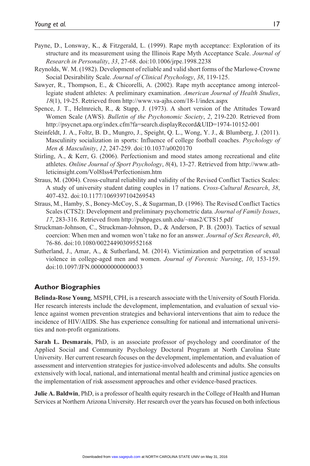- Payne, D., Lonsway, K., & Fitzgerald, L. (1999). Rape myth acceptance: Exploration of its structure and its measurement using the Illinois Rape Myth Acceptance Scale. *Journal of Research in Personality*, *33*, 27-68. doi:10.1006/jrpe.1998.2238
- Reynolds, W. M. (1982). Development of reliable and valid short forms of the Marlowe-Crowne Social Desirability Scale. *Journal of Clinical Psychology*, *38*, 119-125.
- Sawyer, R., Thompson, E., & Chicorelli, A. (2002). Rape myth acceptance among intercollegiate student athletes: A preliminary examination. *American Journal of Health Studies*, *18*(1), 19-25. Retrieved from<http://www.va-ajhs.com/18-1/index.aspx>
- Spence, J. T., Helmreich, R., & Stapp, J. (1973). A short version of the Attitudes Toward Women Scale (AWS). *Bulletin of the Psychonomic Society*, *2*, 219-220. Retrieved from <http://psycnet.apa.org/index.cfm?fa=search.displayRecord&UID=1974-10152-001>
- Steinfeldt, J. A., Foltz, B. D., Mungro, J., Speight, Q. L., Wong, Y. J., & Blumberg, J. (2011). Masculinity socialization in sports: Influence of college football coaches. *Psychology of Men & Masculinity*, *12*, 247-259. doi:10.1037/a0020170
- Stirling, A., & Kerr, G. (2006). Perfectionism and mood states among recreational and elite athletes. *Online Journal of Sport Psychology*, *8*(4), 13-27. Retrieved from [http://www.ath](http://www.athleticinsight.com/Vol8Iss4/Perfectionism.htm)[leticinsight.com/Vol8Iss4/Perfectionism.htm](http://www.athleticinsight.com/Vol8Iss4/Perfectionism.htm)
- Straus, M. (2004). Cross-cultural reliability and validity of the Revised Conflict Tactics Scales: A study of university student dating couples in 17 nations. *Cross-Cultural Research*, *38*, 407-432. doi:10.1177/1069397104269543
- Straus, M., Hamby, S., Boney-McCoy, S., & Sugarman, D. (1996). The Revised Conflict Tactics Scales (CTS2): Development and preliminary psychometric data. *Journal of Family Issues*, *17*, 283-316. Retrieved from <http://pubpages.unh.edu/~mas2/CTS15.pdf>
- Struckman-Johnson, C., Struckman-Johnson, D., & Anderson, P. B. (2003). Tactics of sexual coercion: When men and women won't take no for an answer. *Journal of Sex Research*, *40*, 76-86. doi:10.1080/00224490309552168
- Sutherland, J., Amar, A., & Sutherland, M. (2014). Victimization and perpetration of sexual violence in college-aged men and women. *Journal of Forensic Nursing*, *10*, 153-159. doi:10.1097/JFN.0000000000000033

#### **Author Biographies**

**Belinda-Rose Young**, MSPH, CPH, is a research associate with the University of South Florida. Her research interests include the development, implementation, and evaluation of sexual violence against women prevention strategies and behavioral interventions that aim to reduce the incidence of HIV/AIDS. She has experience consulting for national and international universities and non-profit organizations.

**Sarah L. Desmarais**, PhD, is an associate professor of psychology and coordinator of the Applied Social and Community Psychology Doctoral Program at North Carolina State University. Her current research focuses on the development, implementation, and evaluation of assessment and intervention strategies for justice-involved adolescents and adults. She consults extensively with local, national, and international mental health and criminal justice agencies on the implementation of risk assessment approaches and other evidence-based practices.

**Julie A. Baldwin**, PhD, is a professor of health equity research in the College of Health and Human Services at Northern Arizona University. Her research over the years has focused on both infectious